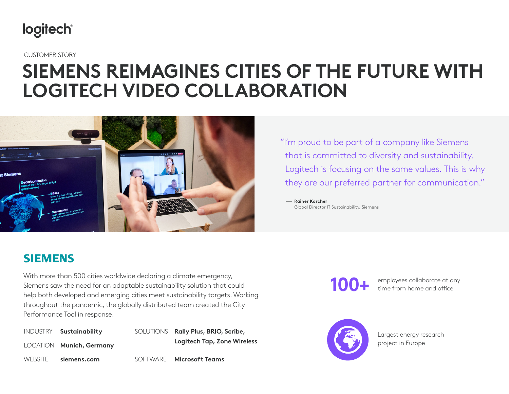

CUSTOMER STORY

## **SIEMENS REIMAGINES CITIES OF THE FUTURE WITH LOGITECH VIDEO COLLABORATION**



"I'm proud to be part of a company like Siemens that is committed to diversity and sustainability. Logitech is focusing on the same values. This is why they are our preferred partner for communication."

— **Rainer Karcher** Global Director IT Sustainability, Siemens

#### **SIEMENS**

With more than 500 cities worldwide declaring a climate emergency, Siemens saw the need for an adaptable sustainability solution that could help both developed and emerging cities meet sustainability targets. Working throughout the pandemic, the globally distributed team created the City Performance Tool in response.

| INDUSTRY Sustainability  | SOLUTIONS Rally Plus, BRIO, Scribe, |
|--------------------------|-------------------------------------|
| LOCATION Munich, Germany | <b>Logitech Tap, Zone Wireless</b>  |
| WEBSITE siemens.com      | SOFTWARE Microsoft Teams            |

**100+**

employees collaborate at any time from home and office



Largest energy research project in Europe